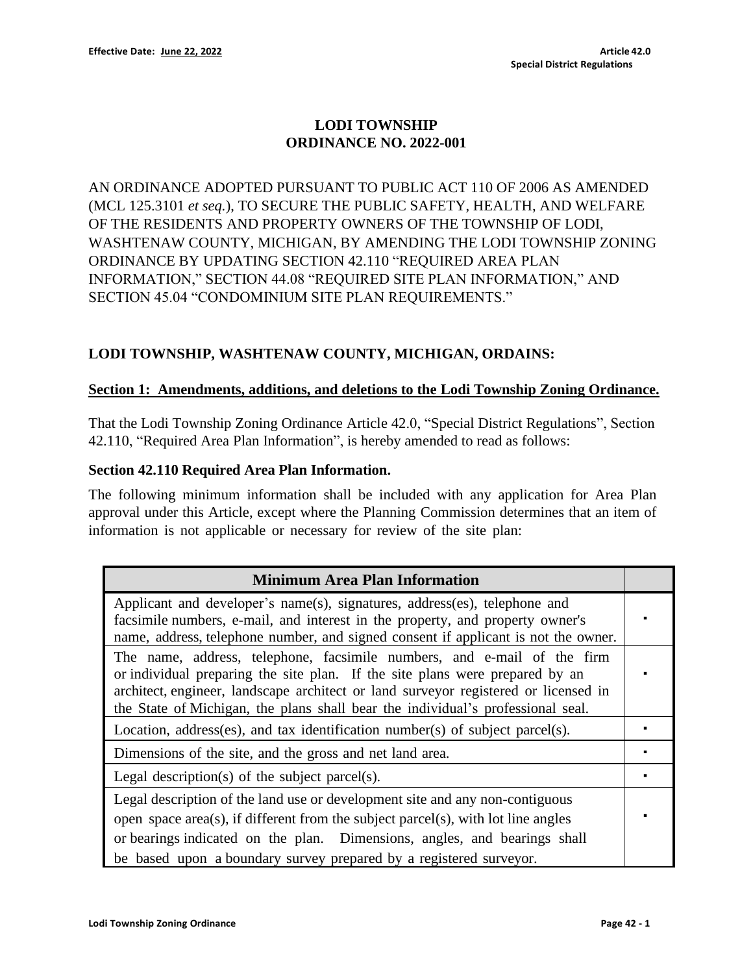# **LODI TOWNSHIP ORDINANCE NO. 2022-001**

AN ORDINANCE ADOPTED PURSUANT TO PUBLIC ACT 110 OF 2006 AS AMENDED (MCL 125.3101 *et seq.*), TO SECURE THE PUBLIC SAFETY, HEALTH, AND WELFARE OF THE RESIDENTS AND PROPERTY OWNERS OF THE TOWNSHIP OF LODI, WASHTENAW COUNTY, MICHIGAN, BY AMENDING THE LODI TOWNSHIP ZONING ORDINANCE BY UPDATING SECTION 42.110 "REQUIRED AREA PLAN INFORMATION," SECTION 44.08 "REQUIRED SITE PLAN INFORMATION," AND SECTION 45.04 "CONDOMINIUM SITE PLAN REQUIREMENTS."

## **LODI TOWNSHIP, WASHTENAW COUNTY, MICHIGAN, ORDAINS:**

#### **Section 1: Amendments, additions, and deletions to the Lodi Township Zoning Ordinance.**

That the Lodi Township Zoning Ordinance Article 42.0, "Special District Regulations", Section 42.110, "Required Area Plan Information", is hereby amended to read as follows:

#### **Section 42.110 Required Area Plan Information.**

The following minimum information shall be included with any application for Area Plan approval under this Article, except where the Planning Commission determines that an item of information is not applicable or necessary for review of the site plan:

| <b>Minimum Area Plan Information</b>                                                                                                                                                                                                                                                                                              |  |
|-----------------------------------------------------------------------------------------------------------------------------------------------------------------------------------------------------------------------------------------------------------------------------------------------------------------------------------|--|
| Applicant and developer's name(s), signatures, address(es), telephone and<br>facsimile numbers, e-mail, and interest in the property, and property owner's<br>name, address, telephone number, and signed consent if applicant is not the owner.                                                                                  |  |
| The name, address, telephone, facsimile numbers, and e-mail of the firm<br>or individual preparing the site plan. If the site plans were prepared by an<br>architect, engineer, landscape architect or land surveyor registered or licensed in<br>the State of Michigan, the plans shall bear the individual's professional seal. |  |
| Location, address(es), and tax identification number(s) of subject parcel(s).                                                                                                                                                                                                                                                     |  |
| Dimensions of the site, and the gross and net land area.                                                                                                                                                                                                                                                                          |  |
| Legal description(s) of the subject parcel(s).                                                                                                                                                                                                                                                                                    |  |
| Legal description of the land use or development site and any non-contiguous<br>open space area(s), if different from the subject parcel(s), with lot line angles<br>or bearings indicated on the plan. Dimensions, angles, and bearings shall<br>be based upon a boundary survey prepared by a registered surveyor.              |  |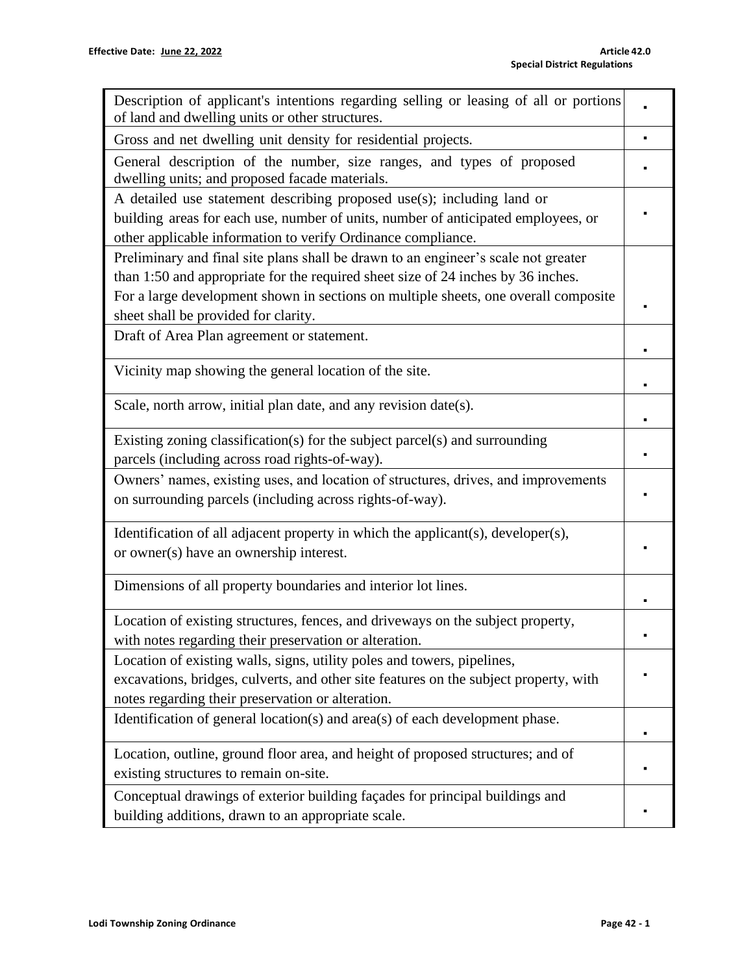| Description of applicant's intentions regarding selling or leasing of all or portions<br>of land and dwelling units or other structures.                                                                                    |  |
|-----------------------------------------------------------------------------------------------------------------------------------------------------------------------------------------------------------------------------|--|
| Gross and net dwelling unit density for residential projects.                                                                                                                                                               |  |
| General description of the number, size ranges, and types of proposed<br>dwelling units; and proposed facade materials.                                                                                                     |  |
| A detailed use statement describing proposed use(s); including land or<br>building areas for each use, number of units, number of anticipated employees, or<br>other applicable information to verify Ordinance compliance. |  |
| Preliminary and final site plans shall be drawn to an engineer's scale not greater<br>than 1:50 and appropriate for the required sheet size of 24 inches by 36 inches.                                                      |  |
| For a large development shown in sections on multiple sheets, one overall composite<br>sheet shall be provided for clarity.                                                                                                 |  |
| Draft of Area Plan agreement or statement.                                                                                                                                                                                  |  |
| Vicinity map showing the general location of the site.                                                                                                                                                                      |  |
| Scale, north arrow, initial plan date, and any revision date(s).                                                                                                                                                            |  |
| Existing zoning classification(s) for the subject parcel(s) and surrounding<br>parcels (including across road rights-of-way).                                                                                               |  |
| Owners' names, existing uses, and location of structures, drives, and improvements<br>on surrounding parcels (including across rights-of-way).                                                                              |  |
| Identification of all adjacent property in which the applicant(s), developer(s),<br>or owner(s) have an ownership interest.                                                                                                 |  |
| Dimensions of all property boundaries and interior lot lines.                                                                                                                                                               |  |
| Location of existing structures, fences, and driveways on the subject property,<br>with notes regarding their preservation or alteration.                                                                                   |  |
| Location of existing walls, signs, utility poles and towers, pipelines,<br>excavations, bridges, culverts, and other site features on the subject property, with<br>notes regarding their preservation or alteration.       |  |
| Identification of general location(s) and area(s) of each development phase.                                                                                                                                                |  |
| Location, outline, ground floor area, and height of proposed structures; and of<br>existing structures to remain on-site.                                                                                                   |  |
| Conceptual drawings of exterior building façades for principal buildings and<br>building additions, drawn to an appropriate scale.                                                                                          |  |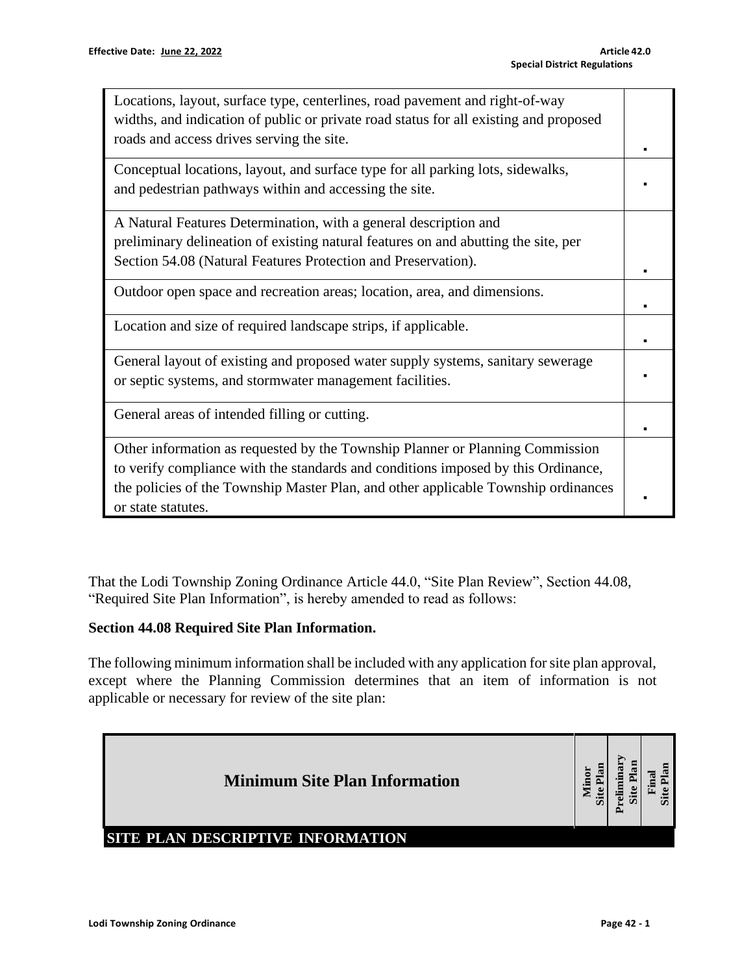| Locations, layout, surface type, centerlines, road pavement and right-of-way<br>widths, and indication of public or private road status for all existing and proposed<br>roads and access drives serving the site.                                                             |  |
|--------------------------------------------------------------------------------------------------------------------------------------------------------------------------------------------------------------------------------------------------------------------------------|--|
| Conceptual locations, layout, and surface type for all parking lots, sidewalks,<br>and pedestrian pathways within and accessing the site.                                                                                                                                      |  |
| A Natural Features Determination, with a general description and<br>preliminary delineation of existing natural features on and abutting the site, per<br>Section 54.08 (Natural Features Protection and Preservation).                                                        |  |
| Outdoor open space and recreation areas; location, area, and dimensions.                                                                                                                                                                                                       |  |
| Location and size of required landscape strips, if applicable.                                                                                                                                                                                                                 |  |
| General layout of existing and proposed water supply systems, sanitary sewerage<br>or septic systems, and stormwater management facilities.                                                                                                                                    |  |
| General areas of intended filling or cutting.                                                                                                                                                                                                                                  |  |
| Other information as requested by the Township Planner or Planning Commission<br>to verify compliance with the standards and conditions imposed by this Ordinance,<br>the policies of the Township Master Plan, and other applicable Township ordinances<br>or state statutes. |  |

That the Lodi Township Zoning Ordinance Article 44.0, "Site Plan Review", Section 44.08, "Required Site Plan Information", is hereby amended to read as follows:

### **Section 44.08 Required Site Plan Information.**

The following minimum information shall be included with any application for site plan approval, except where the Planning Commission determines that an item of information is not applicable or necessary for review of the site plan:

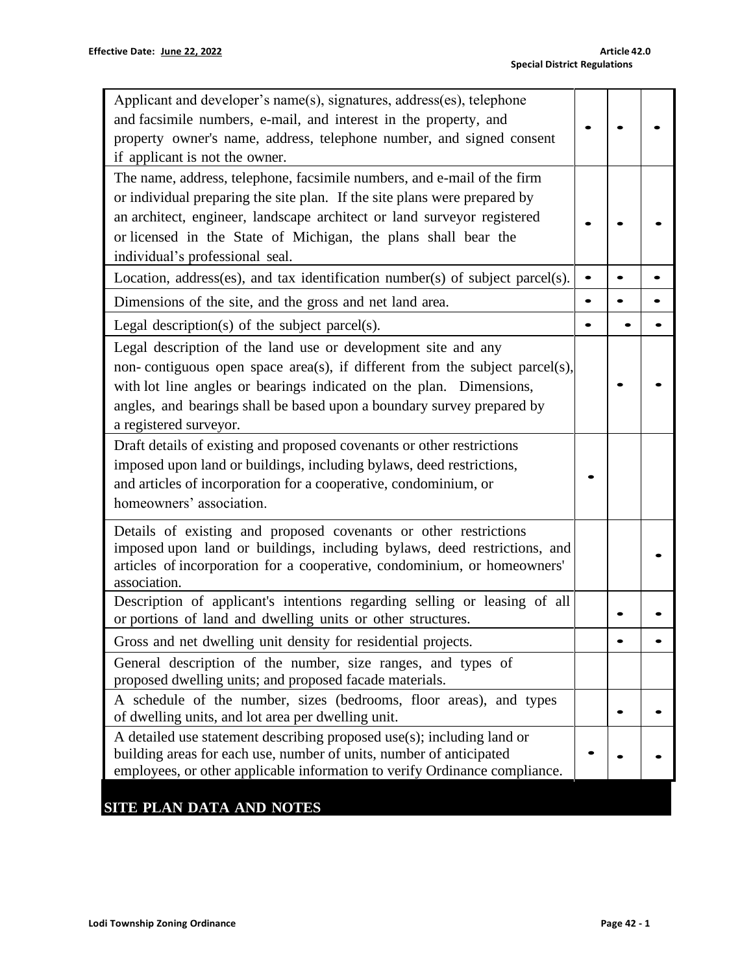| Applicant and developer's name(s), signatures, address(es), telephone<br>and facsimile numbers, e-mail, and interest in the property, and<br>property owner's name, address, telephone number, and signed consent<br>if applicant is not the owner.                                                                                  |           |  |
|--------------------------------------------------------------------------------------------------------------------------------------------------------------------------------------------------------------------------------------------------------------------------------------------------------------------------------------|-----------|--|
| The name, address, telephone, facsimile numbers, and e-mail of the firm<br>or individual preparing the site plan. If the site plans were prepared by<br>an architect, engineer, landscape architect or land surveyor registered<br>or licensed in the State of Michigan, the plans shall bear the<br>individual's professional seal. |           |  |
| Location, address(es), and tax identification number(s) of subject parcel(s).                                                                                                                                                                                                                                                        |           |  |
| Dimensions of the site, and the gross and net land area.                                                                                                                                                                                                                                                                             | $\bullet$ |  |
| Legal description(s) of the subject parcel(s).                                                                                                                                                                                                                                                                                       |           |  |
| Legal description of the land use or development site and any<br>non-contiguous open space area(s), if different from the subject parcel(s),<br>with lot line angles or bearings indicated on the plan. Dimensions,<br>angles, and bearings shall be based upon a boundary survey prepared by<br>a registered surveyor.              |           |  |
| Draft details of existing and proposed covenants or other restrictions<br>imposed upon land or buildings, including bylaws, deed restrictions,<br>and articles of incorporation for a cooperative, condominium, or<br>homeowners' association.                                                                                       |           |  |
| Details of existing and proposed covenants or other restrictions<br>imposed upon land or buildings, including bylaws, deed restrictions, and<br>articles of incorporation for a cooperative, condominium, or homeowners'<br>association.                                                                                             |           |  |
| Description of applicant's intentions regarding selling or leasing of all<br>or portions of land and dwelling units or other structures.                                                                                                                                                                                             |           |  |
| Gross and net dwelling unit density for residential projects.                                                                                                                                                                                                                                                                        |           |  |
| General description of the number, size ranges, and types of<br>proposed dwelling units; and proposed facade materials.                                                                                                                                                                                                              |           |  |
| A schedule of the number, sizes (bedrooms, floor areas), and types<br>of dwelling units, and lot area per dwelling unit.                                                                                                                                                                                                             |           |  |
| A detailed use statement describing proposed use $(s)$ ; including land or<br>building areas for each use, number of units, number of anticipated<br>employees, or other applicable information to verify Ordinance compliance.                                                                                                      |           |  |
| SITE PLAN DATA AND NOTES                                                                                                                                                                                                                                                                                                             |           |  |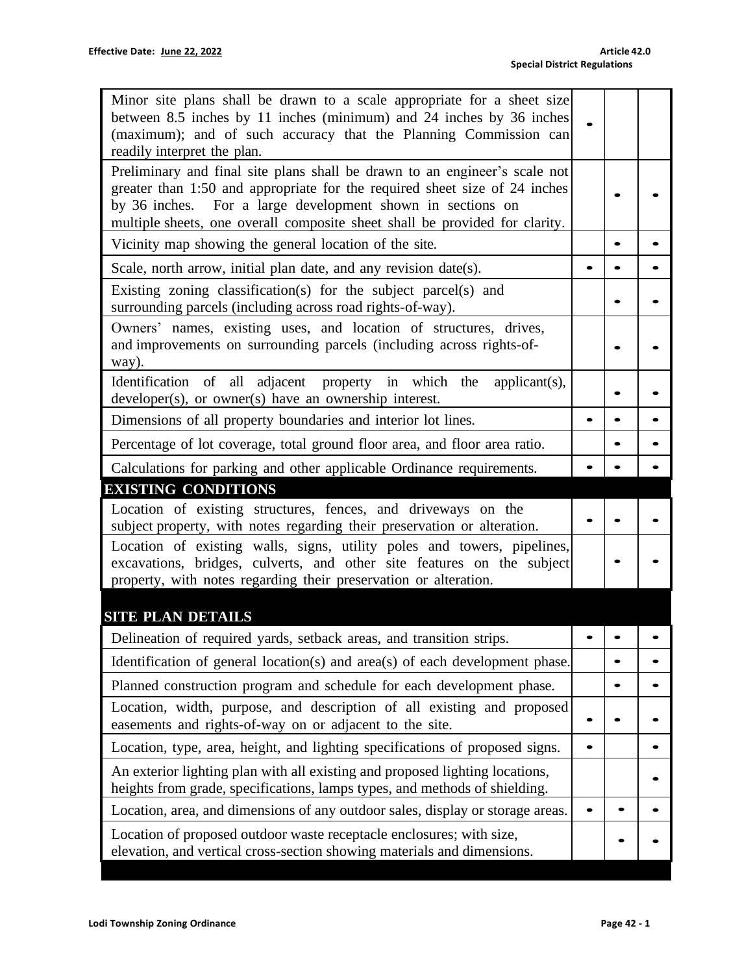| Minor site plans shall be drawn to a scale appropriate for a sheet size<br>between 8.5 inches by 11 inches (minimum) and 24 inches by 36 inches<br>(maximum); and of such accuracy that the Planning Commission can<br>readily interpret the plan.                                                    |           |  |
|-------------------------------------------------------------------------------------------------------------------------------------------------------------------------------------------------------------------------------------------------------------------------------------------------------|-----------|--|
| Preliminary and final site plans shall be drawn to an engineer's scale not<br>greater than 1:50 and appropriate for the required sheet size of 24 inches<br>by 36 inches. For a large development shown in sections on<br>multiple sheets, one overall composite sheet shall be provided for clarity. |           |  |
| Vicinity map showing the general location of the site.                                                                                                                                                                                                                                                |           |  |
| Scale, north arrow, initial plan date, and any revision date(s).                                                                                                                                                                                                                                      |           |  |
| Existing zoning classification(s) for the subject parcel(s) and<br>surrounding parcels (including across road rights-of-way).                                                                                                                                                                         |           |  |
| Owners' names, existing uses, and location of structures, drives,<br>and improvements on surrounding parcels (including across rights-of-<br>way).                                                                                                                                                    |           |  |
| Identification of all adjacent property in which the<br>applicant(s),<br>developer(s), or owner(s) have an ownership interest.                                                                                                                                                                        |           |  |
| Dimensions of all property boundaries and interior lot lines.                                                                                                                                                                                                                                         |           |  |
| Percentage of lot coverage, total ground floor area, and floor area ratio.                                                                                                                                                                                                                            |           |  |
| Calculations for parking and other applicable Ordinance requirements.                                                                                                                                                                                                                                 |           |  |
| <b>EXISTING CONDITIONS</b>                                                                                                                                                                                                                                                                            |           |  |
| Location of existing structures, fences, and driveways on the<br>subject property, with notes regarding their preservation or alteration.                                                                                                                                                             |           |  |
| Location of existing walls, signs, utility poles and towers, pipelines,<br>excavations, bridges, culverts, and other site features on the subject<br>property, with notes regarding their preservation or alteration.                                                                                 |           |  |
| <b>SITE PLAN DETAILS</b>                                                                                                                                                                                                                                                                              |           |  |
| Delineation of required yards, setback areas, and transition strips.                                                                                                                                                                                                                                  |           |  |
| Identification of general location(s) and area(s) of each development phase.                                                                                                                                                                                                                          | $\bullet$ |  |
| Planned construction program and schedule for each development phase.                                                                                                                                                                                                                                 |           |  |
| Location, width, purpose, and description of all existing and proposed<br>easements and rights-of-way on or adjacent to the site.                                                                                                                                                                     |           |  |
| Location, type, area, height, and lighting specifications of proposed signs.                                                                                                                                                                                                                          |           |  |
| An exterior lighting plan with all existing and proposed lighting locations,<br>heights from grade, specifications, lamps types, and methods of shielding.                                                                                                                                            |           |  |
| Location, area, and dimensions of any outdoor sales, display or storage areas.                                                                                                                                                                                                                        |           |  |
| Location of proposed outdoor waste receptacle enclosures; with size,<br>elevation, and vertical cross-section showing materials and dimensions.                                                                                                                                                       |           |  |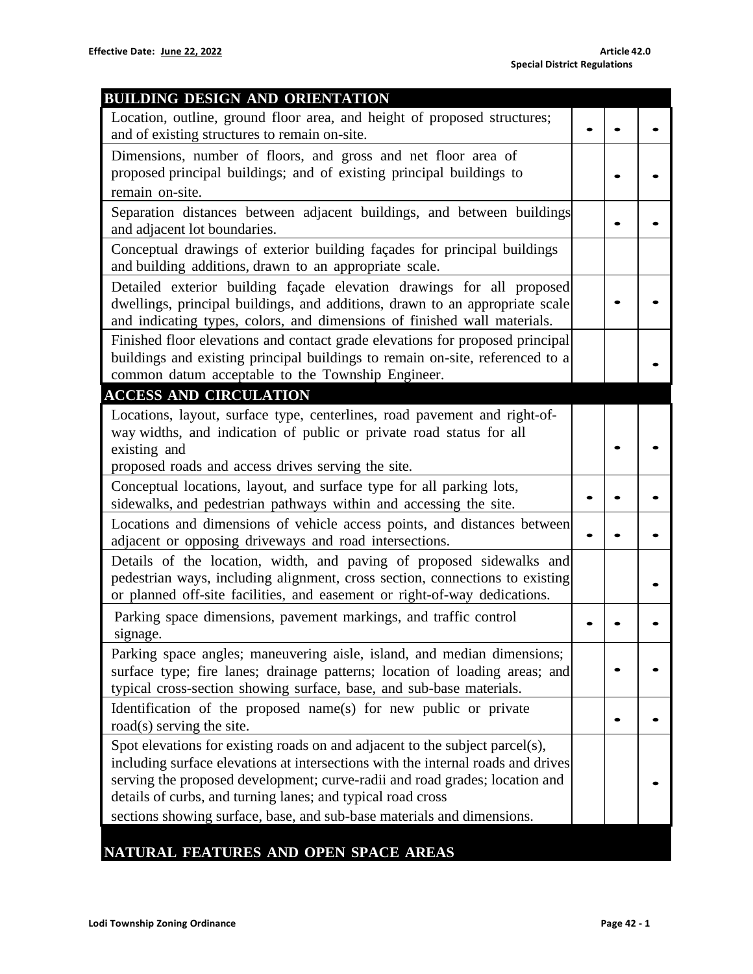| <b>BUILDING DESIGN AND ORIENTATION</b>                                           |  |  |
|----------------------------------------------------------------------------------|--|--|
| Location, outline, ground floor area, and height of proposed structures;         |  |  |
| and of existing structures to remain on-site.                                    |  |  |
| Dimensions, number of floors, and gross and net floor area of                    |  |  |
| proposed principal buildings; and of existing principal buildings to             |  |  |
| remain on-site.                                                                  |  |  |
| Separation distances between adjacent buildings, and between buildings           |  |  |
| and adjacent lot boundaries.                                                     |  |  |
| Conceptual drawings of exterior building façades for principal buildings         |  |  |
| and building additions, drawn to an appropriate scale.                           |  |  |
| Detailed exterior building façade elevation drawings for all proposed            |  |  |
| dwellings, principal buildings, and additions, drawn to an appropriate scale     |  |  |
| and indicating types, colors, and dimensions of finished wall materials.         |  |  |
| Finished floor elevations and contact grade elevations for proposed principal    |  |  |
| buildings and existing principal buildings to remain on-site, referenced to a    |  |  |
| common datum acceptable to the Township Engineer.                                |  |  |
| <b>ACCESS AND CIRCULATION</b>                                                    |  |  |
| Locations, layout, surface type, centerlines, road pavement and right-of-        |  |  |
| way widths, and indication of public or private road status for all              |  |  |
| existing and                                                                     |  |  |
| proposed roads and access drives serving the site.                               |  |  |
| Conceptual locations, layout, and surface type for all parking lots,             |  |  |
| sidewalks, and pedestrian pathways within and accessing the site.                |  |  |
| Locations and dimensions of vehicle access points, and distances between         |  |  |
| adjacent or opposing driveways and road intersections.                           |  |  |
| Details of the location, width, and paving of proposed sidewalks and             |  |  |
| pedestrian ways, including alignment, cross section, connections to existing     |  |  |
| or planned off-site facilities, and easement or right-of-way dedications.        |  |  |
| Parking space dimensions, pavement markings, and traffic control                 |  |  |
| signage.                                                                         |  |  |
| Parking space angles; maneuvering aisle, island, and median dimensions;          |  |  |
| surface type; fire lanes; drainage patterns; location of loading areas; and      |  |  |
| typical cross-section showing surface, base, and sub-base materials.             |  |  |
| Identification of the proposed name(s) for new public or private                 |  |  |
| road(s) serving the site.                                                        |  |  |
| Spot elevations for existing roads on and adjacent to the subject parcel(s),     |  |  |
| including surface elevations at intersections with the internal roads and drives |  |  |
| serving the proposed development; curve-radii and road grades; location and      |  |  |
| details of curbs, and turning lanes; and typical road cross                      |  |  |
| sections showing surface, base, and sub-base materials and dimensions.           |  |  |
| AND ADEN                                                                         |  |  |

## **NATURAL FEATURES AND OPEN SPACE AREAS**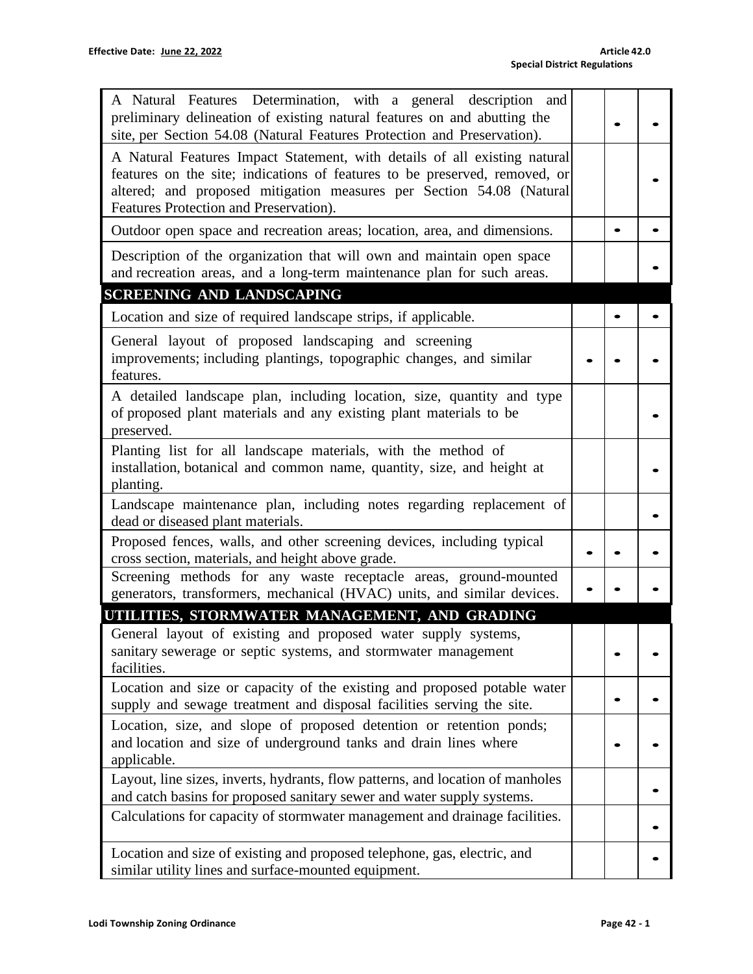| A Natural Features Determination, with a general description and<br>preliminary delineation of existing natural features on and abutting the<br>site, per Section 54.08 (Natural Features Protection and Preservation).                                                   |  |  |
|---------------------------------------------------------------------------------------------------------------------------------------------------------------------------------------------------------------------------------------------------------------------------|--|--|
| A Natural Features Impact Statement, with details of all existing natural<br>features on the site; indications of features to be preserved, removed, or<br>altered; and proposed mitigation measures per Section 54.08 (Natural<br>Features Protection and Preservation). |  |  |
| Outdoor open space and recreation areas; location, area, and dimensions.                                                                                                                                                                                                  |  |  |
| Description of the organization that will own and maintain open space<br>and recreation areas, and a long-term maintenance plan for such areas.                                                                                                                           |  |  |
| SCREENING AND LANDSCAPING                                                                                                                                                                                                                                                 |  |  |
| Location and size of required landscape strips, if applicable.                                                                                                                                                                                                            |  |  |
| General layout of proposed landscaping and screening<br>improvements; including plantings, topographic changes, and similar<br>features.                                                                                                                                  |  |  |
| A detailed landscape plan, including location, size, quantity and type<br>of proposed plant materials and any existing plant materials to be<br>preserved.                                                                                                                |  |  |
| Planting list for all landscape materials, with the method of<br>installation, botanical and common name, quantity, size, and height at<br>planting.                                                                                                                      |  |  |
| Landscape maintenance plan, including notes regarding replacement of<br>dead or diseased plant materials.                                                                                                                                                                 |  |  |
| Proposed fences, walls, and other screening devices, including typical<br>cross section, materials, and height above grade.                                                                                                                                               |  |  |
| Screening methods for any waste receptacle areas, ground-mounted<br>generators, transformers, mechanical (HVAC) units, and similar devices.                                                                                                                               |  |  |
| UTILITIES, STORMWATER MANAGEMENT, AND GRADING                                                                                                                                                                                                                             |  |  |
| General layout of existing and proposed water supply systems,<br>sanitary sewerage or septic systems, and stormwater management<br>facilities.                                                                                                                            |  |  |
| Location and size or capacity of the existing and proposed potable water<br>supply and sewage treatment and disposal facilities serving the site.                                                                                                                         |  |  |
| Location, size, and slope of proposed detention or retention ponds;<br>and location and size of underground tanks and drain lines where<br>applicable.                                                                                                                    |  |  |
| Layout, line sizes, inverts, hydrants, flow patterns, and location of manholes<br>and catch basins for proposed sanitary sewer and water supply systems.                                                                                                                  |  |  |
| Calculations for capacity of stormwater management and drainage facilities.                                                                                                                                                                                               |  |  |
| Location and size of existing and proposed telephone, gas, electric, and<br>similar utility lines and surface-mounted equipment.                                                                                                                                          |  |  |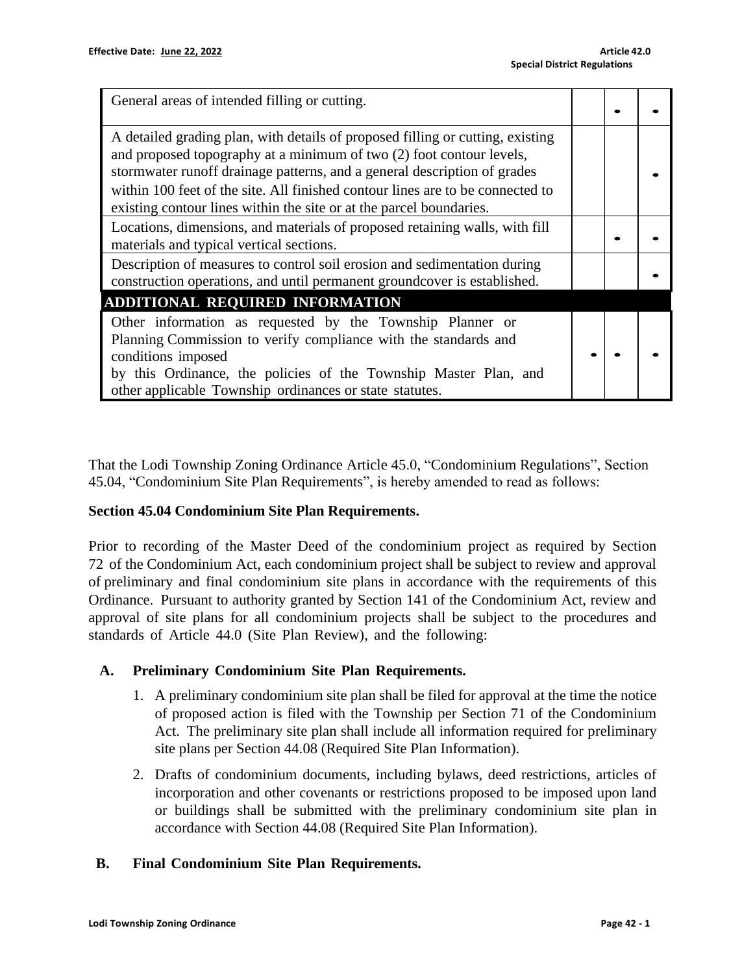| General areas of intended filling or cutting.                                                                                                                                                                                                                                                                                                                                               |  |  |
|---------------------------------------------------------------------------------------------------------------------------------------------------------------------------------------------------------------------------------------------------------------------------------------------------------------------------------------------------------------------------------------------|--|--|
| A detailed grading plan, with details of proposed filling or cutting, existing<br>and proposed topography at a minimum of two (2) foot contour levels,<br>stormwater runoff drainage patterns, and a general description of grades<br>within 100 feet of the site. All finished contour lines are to be connected to<br>existing contour lines within the site or at the parcel boundaries. |  |  |
| Locations, dimensions, and materials of proposed retaining walls, with fill<br>materials and typical vertical sections.                                                                                                                                                                                                                                                                     |  |  |
| Description of measures to control soil erosion and sedimentation during<br>construction operations, and until permanent groundcover is established.                                                                                                                                                                                                                                        |  |  |
| ADDITIONAL REQUIRED INFORMATION                                                                                                                                                                                                                                                                                                                                                             |  |  |
| Other information as requested by the Township Planner or<br>Planning Commission to verify compliance with the standards and<br>conditions imposed<br>by this Ordinance, the policies of the Township Master Plan, and<br>other applicable Township ordinances or state statutes.                                                                                                           |  |  |

That the Lodi Township Zoning Ordinance Article 45.0, "Condominium Regulations", Section 45.04, "Condominium Site Plan Requirements", is hereby amended to read as follows:

### **Section 45.04 Condominium Site Plan Requirements.**

Prior to recording of the Master Deed of the condominium project as required by Section 72 of the Condominium Act, each condominium project shall be subject to review and approval of preliminary and final condominium site plans in accordance with the requirements of this Ordinance. Pursuant to authority granted by Section 141 of the Condominium Act, review and approval of site plans for all condominium projects shall be subject to the procedures and standards of Article 44.0 (Site Plan Review), and the following:

### **A. Preliminary Condominium Site Plan Requirements.**

- 1. A preliminary condominium site plan shall be filed for approval at the time the notice of proposed action is filed with the Township per Section 71 of the Condominium Act. The preliminary site plan shall include all information required for preliminary site plans per Section 44.08 (Required Site Plan Information).
- 2. Drafts of condominium documents, including bylaws, deed restrictions, articles of incorporation and other covenants or restrictions proposed to be imposed upon land or buildings shall be submitted with the preliminary condominium site plan in accordance with Section 44.08 (Required Site Plan Information).

### **B. Final Condominium Site Plan Requirements.**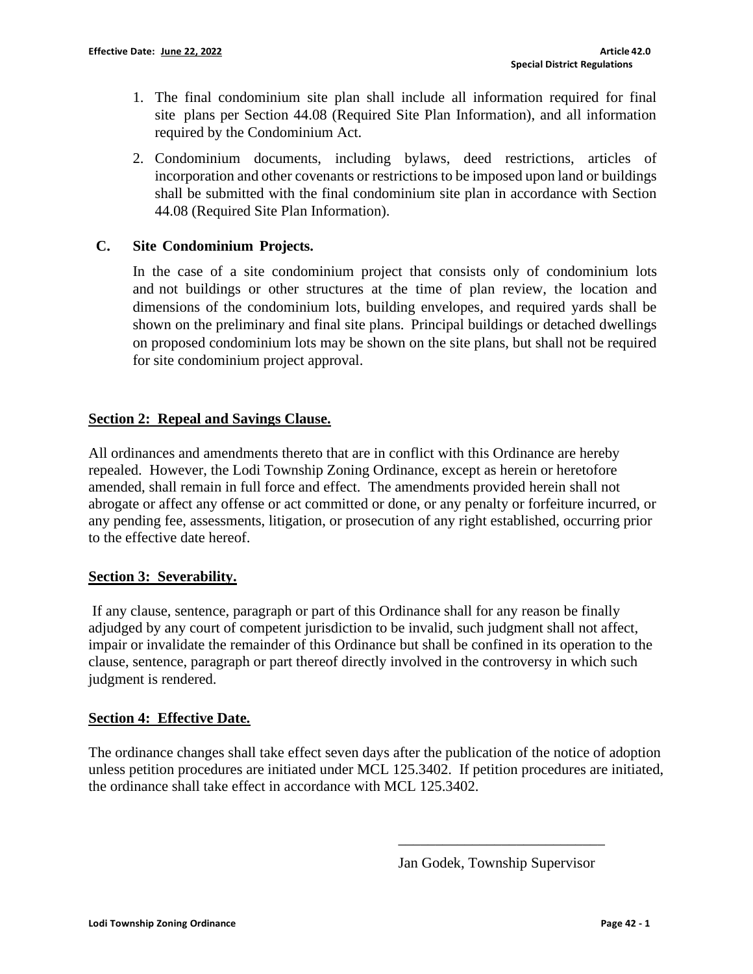- 1. The final condominium site plan shall include all information required for final site plans per Section 44.08 (Required Site Plan Information), and all information required by the Condominium Act.
- 2. Condominium documents, including bylaws, deed restrictions, articles of incorporation and other covenants or restrictions to be imposed upon land or buildings shall be submitted with the final condominium site plan in accordance with Section 44.08 (Required Site Plan Information).

## **C. Site Condominium Projects.**

In the case of a site condominium project that consists only of condominium lots and not buildings or other structures at the time of plan review, the location and dimensions of the condominium lots, building envelopes, and required yards shall be shown on the preliminary and final site plans. Principal buildings or detached dwellings on proposed condominium lots may be shown on the site plans, but shall not be required for site condominium project approval.

## **Section 2: Repeal and Savings Clause.**

All ordinances and amendments thereto that are in conflict with this Ordinance are hereby repealed. However, the Lodi Township Zoning Ordinance, except as herein or heretofore amended, shall remain in full force and effect. The amendments provided herein shall not abrogate or affect any offense or act committed or done, or any penalty or forfeiture incurred, or any pending fee, assessments, litigation, or prosecution of any right established, occurring prior to the effective date hereof.

### **Section 3: Severability.**

If any clause, sentence, paragraph or part of this Ordinance shall for any reason be finally adjudged by any court of competent jurisdiction to be invalid, such judgment shall not affect, impair or invalidate the remainder of this Ordinance but shall be confined in its operation to the clause, sentence, paragraph or part thereof directly involved in the controversy in which such judgment is rendered.

### **Section 4: Effective Date.**

The ordinance changes shall take effect seven days after the publication of the notice of adoption unless petition procedures are initiated under MCL 125.3402. If petition procedures are initiated, the ordinance shall take effect in accordance with MCL 125.3402.

Jan Godek, Township Supervisor

\_\_\_\_\_\_\_\_\_\_\_\_\_\_\_\_\_\_\_\_\_\_\_\_\_\_\_\_